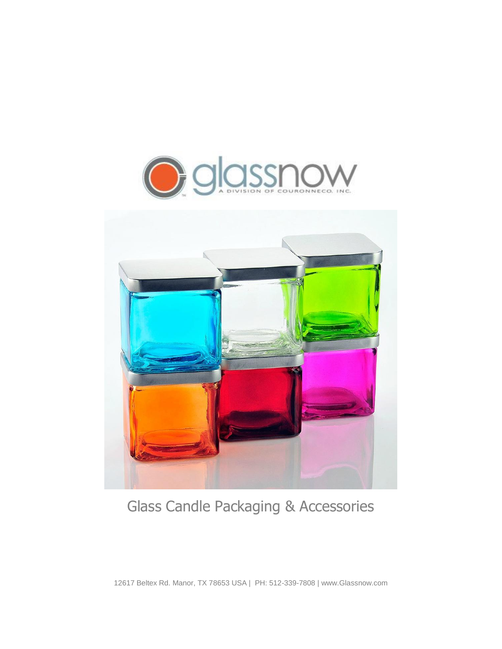



# Glass Candle Packaging & Accessories

12617 Beltex Rd. Manor, TX 78653 USA | PH: 512-339-7808 | www.Glassnow.com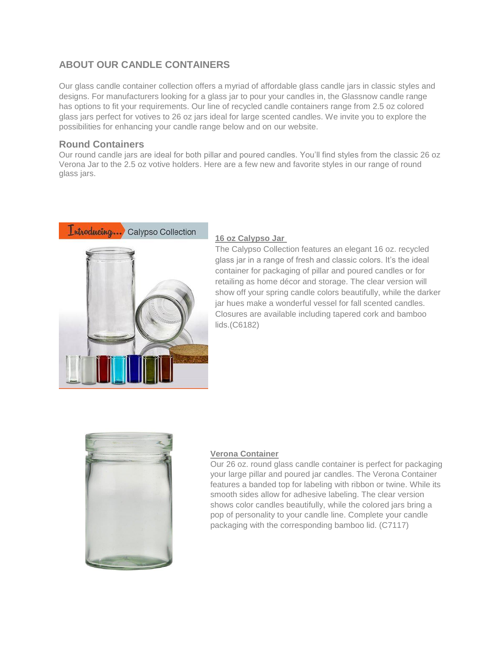# **ABOUT OUR CANDLE CONTAINERS**

Our glass candle container collection offers a myriad of affordable glass candle jars in classic styles and designs. For manufacturers looking for a glass jar to pour your candles in, the Glassnow candle range has options to fit your requirements. Our line of recycled candle containers range from 2.5 oz colored glass jars perfect for votives to 26 oz jars ideal for large scented candles. We invite you to explore the possibilities for enhancing your candle range below and on [our website.](https://www.glassnow.com/glass-candle-containers)

### **Round Containers**

Our round candle jars are ideal for both pillar and poured candles. You'll find styles from the classic 26 oz Verona Jar to the 2.5 oz votive holders. Here are a few new and favorite styles in our range of round glass jars.



#### **[16 oz Calypso Jar](https://www.glassnow.com/16oz-calypso-glass-jar)**

The Calypso Collection features an elegant 16 oz. recycled glass jar in a range of fresh and classic colors. It's the ideal container for packaging of pillar and poured candles or for retailing as home décor and storage. The clear version will show off your spring candle colors beautifully, while the darker jar hues make a wonderful vessel for fall scented candles. Closures are available including tapered cork and bamboo lids.(C6182)



#### **[Verona Container](https://www.glassnow.com/26oz-verona-glass-container)**

Our 26 oz. round glass candle container is perfect for packaging your large pillar and poured jar candles. The Verona Container features a banded top for labeling with ribbon or twine. While its smooth sides allow for adhesive labeling. The clear version shows color candles beautifully, while the colored jars bring a pop of personality to your candle line. Complete your candle packaging with the corresponding bamboo lid. (C7117)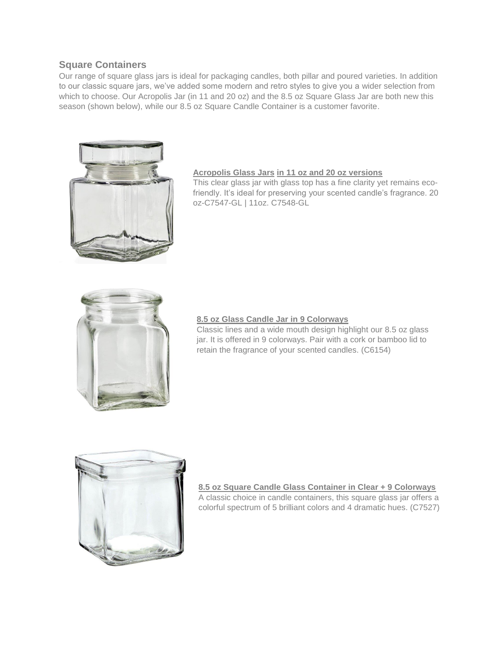### **Square Containers**

Our range of square glass jars is ideal for packaging candles, both pillar and poured varieties. In addition to our classic square jars, we've added some modern and retro styles to give you a wider selection from which to choose. Our Acropolis Jar (in 11 and 20 oz) and the 8.5 oz Square Glass Jar are both new this season (shown below), while our 8.5 oz Square Candle Container is a customer favorite.



#### **[Acropolis Glass Jars](https://www.glassnow.com/catalogsearch/result/?q=acropolis+) [in 11 oz and 20 oz versions](https://www.glassnow.com/catalogsearch/result/?q=acropolis+)**

This clear glass jar with glass top has a fine clarity yet remains ecofriendly. It's ideal for preserving your scented candle's fragrance. 20 oz-C7547-GL | 11oz. C7548-GL



#### **[8.5 oz Glass Candle Jar](https://www.glassnow.com/8-5oz-square-glass-jar) in 9 Colorways**

Classic lines and a wide mouth design highlight our 8.5 oz glass jar. It is offered in 9 colorways. Pair with a cork or bamboo lid to retain the fragrance of your scented candles. (C6154)



**[8.5 oz Square Candle Glass Container in Clear + 9 Colorways](https://www.glassnow.com/8-5oz-square-candle-glass-container)** A classic choice in candle containers, this square glass jar offers a colorful spectrum of 5 brilliant colors and 4 dramatic hues. (C7527)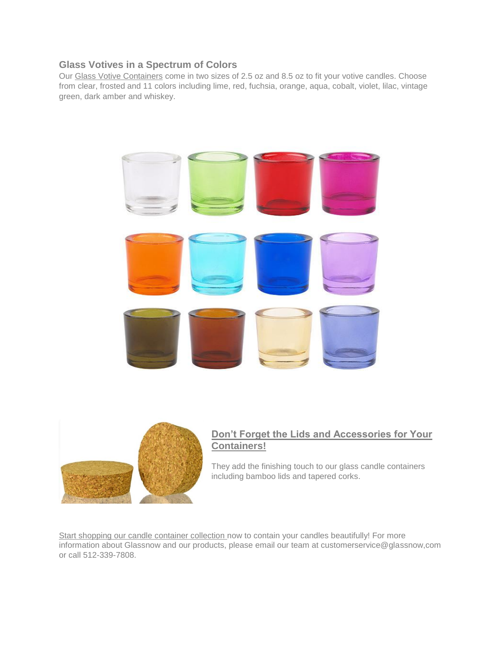### **[Glass Votives in a Spectrum of Colors](https://www.glassnow.com/catalogsearch/result/?q=votive)**

Our [Glass Votive Containers](https://www.glassnow.com/catalogsearch/result/?q=votive) come in two sizes of 2.5 oz and 8.5 oz to fit your votive candles. Choose from clear, frosted and 11 colors including lime, red, fuchsia, orange, aqua, cobalt, violet, lilac, vintage green, dark amber and whiskey.





## **[Don't Forget the Lids and Accessories for Your](https://www.glassnow.com/accessories)  [Containers!](https://www.glassnow.com/accessories)**

They add the finishing touch to our glass candle containers including bamboo lids and tapered corks.

[Start shopping our candle container collection](https://www.glassnow.com/glass-candle-containers) now to contain your candles beautifully! For more information about Glassnow and our products, please email our team at customerservice@glassnow,com or call 512-339-7808.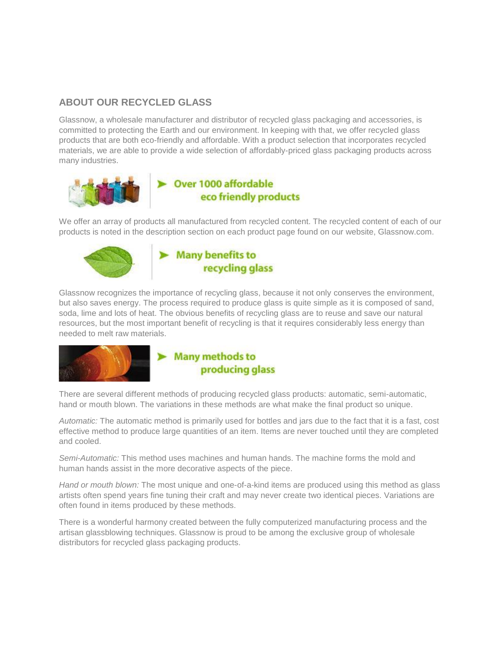# **ABOUT OUR RECYCLED GLASS**

Glassnow, a wholesale manufacturer and distributor of recycled glass packaging and accessories, is committed to protecting the Earth and our environment. In keeping with that, we offer recycled glass products that are both eco-friendly and affordable. With a product selection that incorporates recycled materials, we are able to provide a wide selection of affordably-priced glass packaging products across many industries.



We offer an array of products all manufactured from recycled content. The recycled content of each of our products is noted in the description section on each product page found on our website, Glassnow.com.





Glassnow recognizes the importance of recycling glass, because it not only conserves the environment, but also saves energy. The process required to produce glass is quite simple as it is composed of sand, soda, lime and lots of heat. The obvious benefits of recycling glass are to reuse and save our natural resources, but the most important benefit of recycling is that it requires considerably less energy than needed to melt raw materials.



# $\blacktriangleright$  Many methods to producing glass

There are several different methods of producing recycled glass products: automatic, semi-automatic, hand or mouth blown. The variations in these methods are what make the final product so unique.

*Automatic:* The automatic method is primarily used for bottles and jars due to the fact that it is a fast, cost effective method to produce large quantities of an item. Items are never touched until they are completed and cooled.

*Semi-Automatic:* This method uses machines and human hands. The machine forms the mold and human hands assist in the more decorative aspects of the piece.

*Hand or mouth blown:* The most unique and one-of-a-kind items are produced using this method as glass artists often spend years fine tuning their craft and may never create two identical pieces. Variations are often found in items produced by these methods.

There is a wonderful harmony created between the fully computerized manufacturing process and the artisan glassblowing techniques. Glassnow is proud to be among the exclusive group of wholesale distributors for recycled glass packaging products.